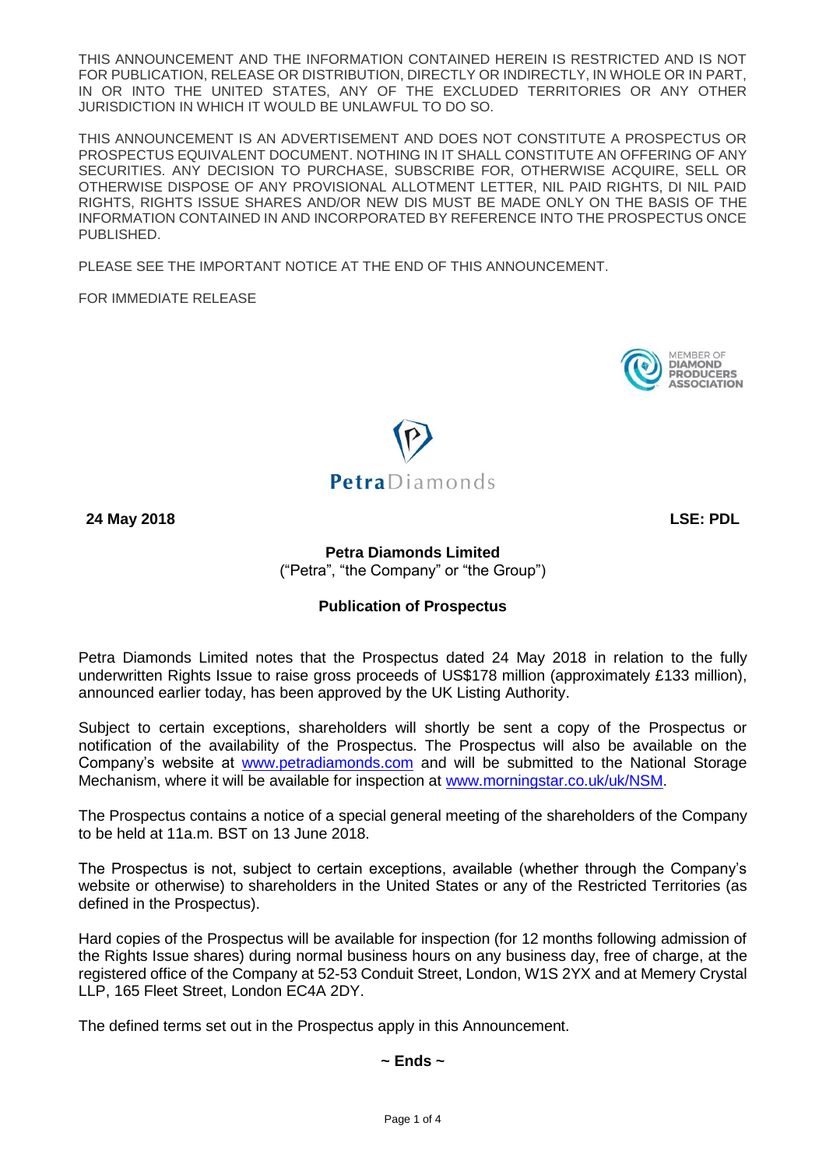THIS ANNOUNCEMENT AND THE INFORMATION CONTAINED HEREIN IS RESTRICTED AND IS NOT FOR PUBLICATION, RELEASE OR DISTRIBUTION, DIRECTLY OR INDIRECTLY, IN WHOLE OR IN PART, IN OR INTO THE UNITED STATES, ANY OF THE EXCLUDED TERRITORIES OR ANY OTHER JURISDICTION IN WHICH IT WOULD BE UNLAWFUL TO DO SO.

THIS ANNOUNCEMENT IS AN ADVERTISEMENT AND DOES NOT CONSTITUTE A PROSPECTUS OR PROSPECTUS EQUIVALENT DOCUMENT. NOTHING IN IT SHALL CONSTITUTE AN OFFERING OF ANY SECURITIES. ANY DECISION TO PURCHASE, SUBSCRIBE FOR, OTHERWISE ACQUIRE, SELL OR OTHERWISE DISPOSE OF ANY PROVISIONAL ALLOTMENT LETTER, NIL PAID RIGHTS, DI NIL PAID RIGHTS, RIGHTS ISSUE SHARES AND/OR NEW DIS MUST BE MADE ONLY ON THE BASIS OF THE INFORMATION CONTAINED IN AND INCORPORATED BY REFERENCE INTO THE PROSPECTUS ONCE PUBLISHED.

PLEASE SEE THE IMPORTANT NOTICE AT THE END OF THIS ANNOUNCEMENT.

FOR IMMEDIATE RELEASE





**24 May 2018 LSE: PDL**

# **Petra Diamonds Limited**  ("Petra", "the Company" or "the Group")

## **Publication of Prospectus**

Petra Diamonds Limited notes that the Prospectus dated 24 May 2018 in relation to the fully underwritten Rights Issue to raise gross proceeds of US\$178 million (approximately £133 million), announced earlier today, has been approved by the UK Listing Authority.

Subject to certain exceptions, shareholders will shortly be sent a copy of the Prospectus or notification of the availability of the Prospectus. The Prospectus will also be available on the Company's website at [www.petradiamonds.com](http://www.petradiamonds.com/) and will be submitted to the National Storage Mechanism, where it will be available for inspection at [www.morningstar.co.uk/uk/NSM.](http://www.morningstar.co.uk/uk/NSM)

The Prospectus contains a notice of a special general meeting of the shareholders of the Company to be held at 11a.m. BST on 13 June 2018.

The Prospectus is not, subject to certain exceptions, available (whether through the Company's website or otherwise) to shareholders in the United States or any of the Restricted Territories (as defined in the Prospectus).

Hard copies of the Prospectus will be available for inspection (for 12 months following admission of the Rights Issue shares) during normal business hours on any business day, free of charge, at the registered office of the Company at 52-53 Conduit Street, London, W1S 2YX and at Memery Crystal LLP, 165 Fleet Street, London EC4A 2DY.

The defined terms set out in the Prospectus apply in this Announcement.

# **~ Ends ~**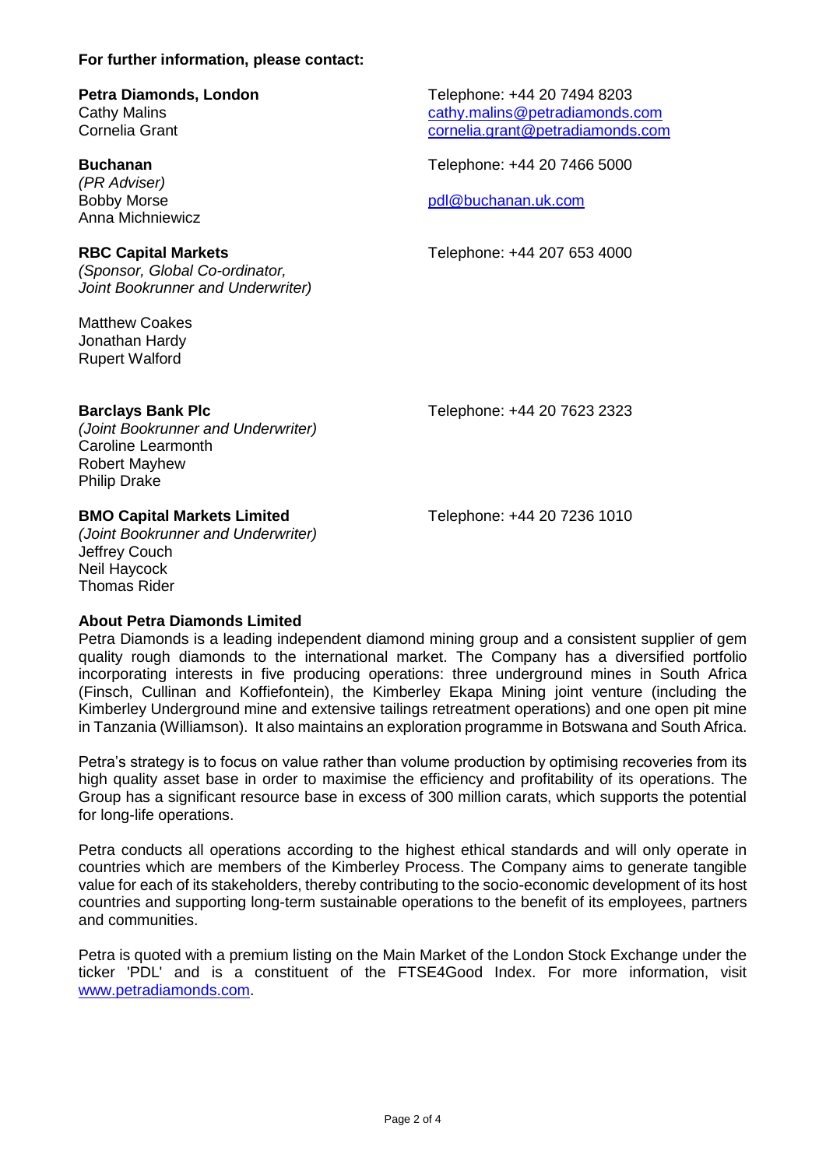### **For further information, please contact:**

# **Petra Diamonds, London** Telephone: +44 20 7494 8203

*(PR Adviser)* Anna Michniewicz

*(Sponsor, Global Co-ordinator, Joint Bookrunner and Underwriter)*

Matthew Coakes Jonathan Hardy Rupert Walford

Cathy Malins Cathy Malins Cathy Malins Cathy Malins Come cathy.malins Come cathy Cornelia arant Cornelia arant Cornelia arant Cornelia arant Cornelia arant Cornelia arant Cornelia arant Cornelia arant Cornelia arant Cornel [cornelia.grant@petradiamonds.com](mailto:cornelia.grant@petradiamonds.com)

**Buchanan** Telephone: +44 20 7466 5000

Bobby Morse [pdl@buchanan.uk.com](mailto:pdl@buchanan.uk.com)

**RBC Capital Markets** Telephone: +44 207 653 4000

## **Barclays Bank Plc** Telephone: +44 20 7623 2323

*(Joint Bookrunner and Underwriter)* Caroline Learmonth Robert Mayhew Philip Drake

## **BMO Capital Markets Limited** Telephone: +44 20 7236 1010

*(Joint Bookrunner and Underwriter)* Jeffrey Couch Neil Haycock Thomas Rider

## **About Petra Diamonds Limited**

Petra Diamonds is a leading independent diamond mining group and a consistent supplier of gem quality rough diamonds to the international market. The Company has a diversified portfolio incorporating interests in five producing operations: three underground mines in South Africa (Finsch, Cullinan and Koffiefontein), the Kimberley Ekapa Mining joint venture (including the Kimberley Underground mine and extensive tailings retreatment operations) and one open pit mine in Tanzania (Williamson). It also maintains an exploration programme in Botswana and South Africa.

Petra's strategy is to focus on value rather than volume production by optimising recoveries from its high quality asset base in order to maximise the efficiency and profitability of its operations. The Group has a significant resource base in excess of 300 million carats, which supports the potential for long-life operations.

Petra conducts all operations according to the highest ethical standards and will only operate in countries which are members of the Kimberley Process. The Company aims to generate tangible value for each of its stakeholders, thereby contributing to the socio-economic development of its host countries and supporting long-term sustainable operations to the benefit of its employees, partners and communities.

Petra is quoted with a premium listing on the Main Market of the London Stock Exchange under the ticker 'PDL' and is a constituent of the FTSE4Good Index. For more information, visit [www.petradiamonds.com.](http://www.petradiamonds.com/)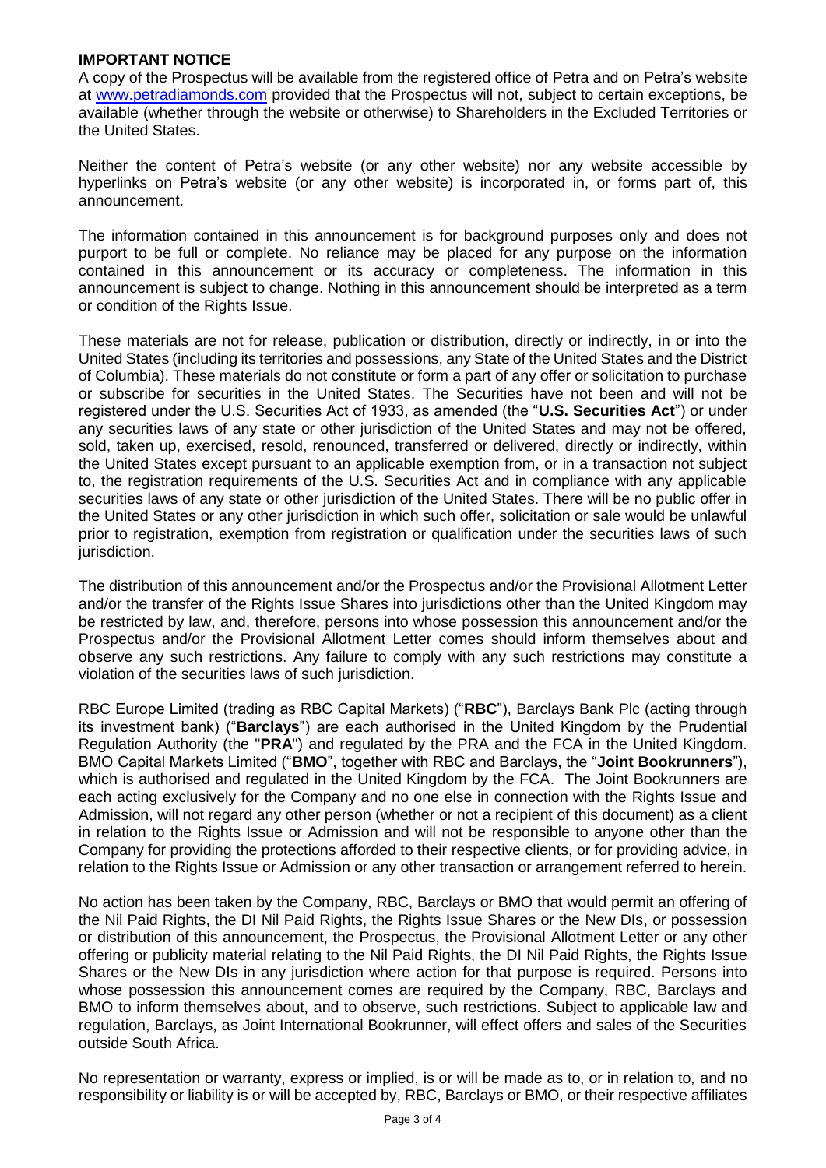### **IMPORTANT NOTICE**

A copy of the Prospectus will be available from the registered office of Petra and on Petra's website at [www.petradiamonds.com](http://www.petradiamonds.com/) provided that the Prospectus will not, subject to certain exceptions, be available (whether through the website or otherwise) to Shareholders in the Excluded Territories or the United States.

Neither the content of Petra's website (or any other website) nor any website accessible by hyperlinks on Petra's website (or any other website) is incorporated in, or forms part of, this announcement.

The information contained in this announcement is for background purposes only and does not purport to be full or complete. No reliance may be placed for any purpose on the information contained in this announcement or its accuracy or completeness. The information in this announcement is subject to change. Nothing in this announcement should be interpreted as a term or condition of the Rights Issue.

These materials are not for release, publication or distribution, directly or indirectly, in or into the United States (including its territories and possessions, any State of the United States and the District of Columbia). These materials do not constitute or form a part of any offer or solicitation to purchase or subscribe for securities in the United States. The Securities have not been and will not be registered under the U.S. Securities Act of 1933, as amended (the "**U.S. Securities Act**") or under any securities laws of any state or other jurisdiction of the United States and may not be offered, sold, taken up, exercised, resold, renounced, transferred or delivered, directly or indirectly, within the United States except pursuant to an applicable exemption from, or in a transaction not subject to, the registration requirements of the U.S. Securities Act and in compliance with any applicable securities laws of any state or other jurisdiction of the United States. There will be no public offer in the United States or any other jurisdiction in which such offer, solicitation or sale would be unlawful prior to registration, exemption from registration or qualification under the securities laws of such jurisdiction.

The distribution of this announcement and/or the Prospectus and/or the Provisional Allotment Letter and/or the transfer of the Rights Issue Shares into jurisdictions other than the United Kingdom may be restricted by law, and, therefore, persons into whose possession this announcement and/or the Prospectus and/or the Provisional Allotment Letter comes should inform themselves about and observe any such restrictions. Any failure to comply with any such restrictions may constitute a violation of the securities laws of such jurisdiction.

RBC Europe Limited (trading as RBC Capital Markets) ("**RBC**"), Barclays Bank Plc (acting through its investment bank) ("**Barclays**") are each authorised in the United Kingdom by the Prudential Regulation Authority (the "**PRA**") and regulated by the PRA and the FCA in the United Kingdom. BMO Capital Markets Limited ("**BMO**", together with RBC and Barclays, the "**Joint Bookrunners**"), which is authorised and regulated in the United Kingdom by the FCA. The Joint Bookrunners are each acting exclusively for the Company and no one else in connection with the Rights Issue and Admission, will not regard any other person (whether or not a recipient of this document) as a client in relation to the Rights Issue or Admission and will not be responsible to anyone other than the Company for providing the protections afforded to their respective clients, or for providing advice, in relation to the Rights Issue or Admission or any other transaction or arrangement referred to herein.

No action has been taken by the Company, RBC, Barclays or BMO that would permit an offering of the Nil Paid Rights, the DI Nil Paid Rights, the Rights Issue Shares or the New DIs, or possession or distribution of this announcement, the Prospectus, the Provisional Allotment Letter or any other offering or publicity material relating to the Nil Paid Rights, the DI Nil Paid Rights, the Rights Issue Shares or the New DIs in any jurisdiction where action for that purpose is required. Persons into whose possession this announcement comes are required by the Company, RBC, Barclays and BMO to inform themselves about, and to observe, such restrictions. Subject to applicable law and regulation, Barclays, as Joint International Bookrunner, will effect offers and sales of the Securities outside South Africa.

No representation or warranty, express or implied, is or will be made as to, or in relation to, and no responsibility or liability is or will be accepted by, RBC, Barclays or BMO, or their respective affiliates